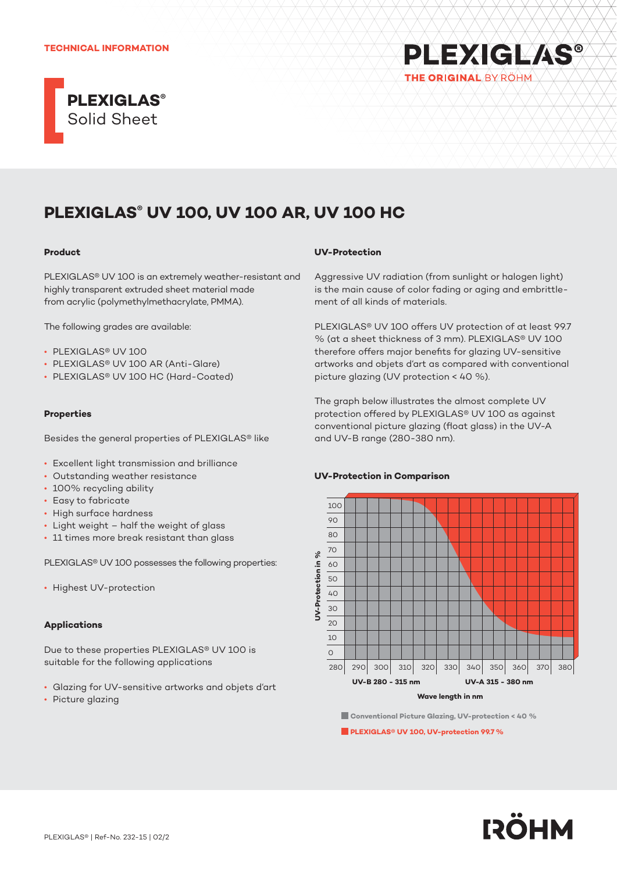#### **TECHNICAL INFORMATION**



# **PLEXIGLAS®** THE ORIGINAL BY ROHM

## **PLEXIGLAS® UV 100, UV 100 AR, UV 100 HC**

#### **Product**

PLEXIGLAS® UV 100 is an extremely weather-resistant and highly transparent extruded sheet material made from acrylic (polymethylmethacrylate, PMMA).

The following grades are available:

- PLEXIGLAS® UV 100
- PLEXIGLAS® UV 100 AR (Anti-Glare)
- PLEXIGLAS® UV 100 HC (Hard-Coated)

## **Properties**

Besides the general properties of PLEXIGLAS® like

- Excellent light transmission and brilliance
- Outstanding weather resistance
- 100% recycling ability
- Easy to fabricate
- High surface hardness
- Light weight half the weight of glass
- 11 times more break resistant than glass

PLEXIGLAS® UV 100 possesses the following properties:

• Highest UV-protection

## **Applications**

Due to these properties PLEXIGLAS® UV 100 is suitable for the following applications

- Glazing for UV-sensitive artworks and objets d'art
- Picture glazing

#### **UV-Protection**

Aggressive UV radiation (from sunlight or halogen light) is the main cause of color fading or aging and embrittlement of all kinds of materials.

PLEXIGLAS® UV 100 offers UV protection of at least 99.7 % (at a sheet thickness of 3 mm). PLEXIGLAS® UV 100 therefore offers major benefits for glazing UV-sensitive artworks and objets d'art as compared with conventional picture glazing (UV protection < 40 %).

The graph below illustrates the almost complete UV protection offered by PLEXIGLAS® UV 100 as against conventional picture glazing (float glass) in the UV-A and UV-B range (280-380 nm).

#### **UV-Protection in Comparison**



**Conventional Picture Glazing, UV-protection < 40 %**

**PLEXIGLAS® UV 100, UV-protection 99.7 %**

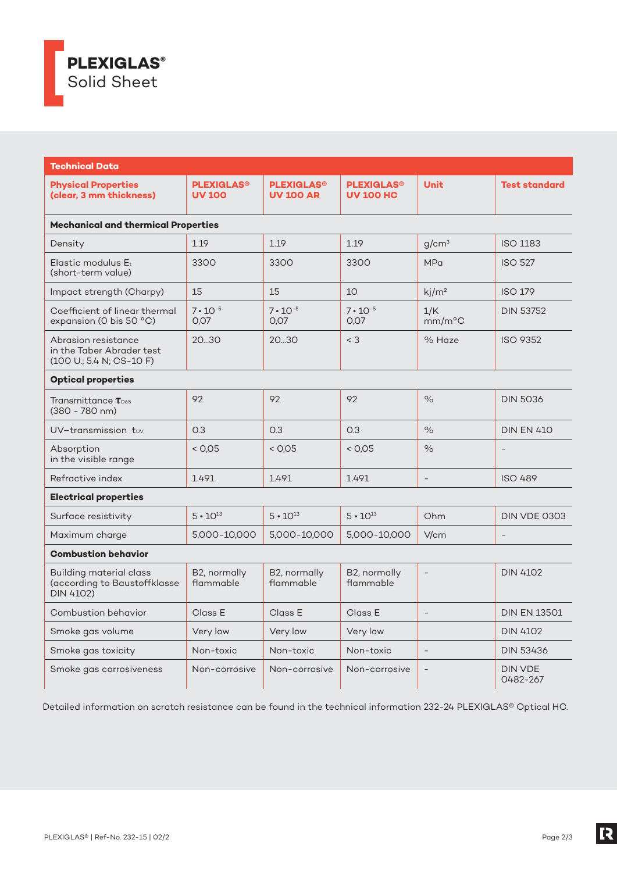

| <b>Technical Data</b>                                                              |                                               |                                                  |                                                  |                          |                            |
|------------------------------------------------------------------------------------|-----------------------------------------------|--------------------------------------------------|--------------------------------------------------|--------------------------|----------------------------|
| <b>Physical Properties</b><br>(clear, 3 mm thickness)                              | <b>PLEXIGLAS<sup>®</sup></b><br><b>UV 100</b> | <b>PLEXIGLAS<sup>®</sup></b><br><b>UV 100 AR</b> | <b>PLEXIGLAS<sup>®</sup></b><br><b>UV 100 HC</b> | <b>Unit</b>              | <b>Test standard</b>       |
| <b>Mechanical and thermical Properties</b>                                         |                                               |                                                  |                                                  |                          |                            |
| Density                                                                            | 1.19                                          | 1.19                                             | 1.19                                             | q/cm <sup>3</sup>        | <b>ISO 1183</b>            |
| Elastic modulus Et<br>(short-term value)                                           | 3300                                          | 3300                                             | 3300                                             | <b>MPa</b>               | <b>ISO 527</b>             |
| Impact strength (Charpy)                                                           | 15                                            | 15                                               | 10                                               | kj/m <sup>2</sup>        | <b>ISO 179</b>             |
| Coefficient of linear thermal<br>expansion (O bis 50 °C)                           | $7 \cdot 10^{-5}$<br>0.07                     | $7 \cdot 10^{-5}$<br>0.07                        | $7 \cdot 10^{-5}$<br>0.07                        | 1/K<br>$mm/m^{\circ}C$   | <b>DIN 53752</b>           |
| Abrasion resistance<br>in the Taber Abrader test<br>(100 U.; 5.4 N; CS-10 F)       | 2030                                          | 2030                                             | $<$ 3                                            | % Haze                   | <b>ISO 9352</b>            |
| <b>Optical properties</b>                                                          |                                               |                                                  |                                                  |                          |                            |
| Transmittance $\tau_{\text{\tiny{D65}}}$<br>$(380 - 780$ nm)                       | 92                                            | 92                                               | 92                                               | $\%$                     | <b>DIN 5036</b>            |
| UV-transmission tuv                                                                | O.3                                           | O.3                                              | 0.3                                              | $\frac{1}{2}$            | <b>DIN EN 410</b>          |
| Absorption<br>in the visible range                                                 | < 0.05                                        | < 0.05                                           | < 0.05                                           | $\%$                     |                            |
| Refractive index                                                                   | 1.491                                         | 1.491                                            | 1.491                                            |                          | <b>ISO 489</b>             |
| <b>Electrical properties</b>                                                       |                                               |                                                  |                                                  |                          |                            |
| Surface resistivity                                                                | $5 \cdot 10^{13}$                             | $5 \cdot 10^{13}$                                | $5 \cdot 10^{13}$                                | Ohm                      | DIN VDE 0303               |
| Maximum charge                                                                     | 5,000-10,000                                  | 5,000-10,000                                     | 5,000-10,000                                     | V/cm                     |                            |
| <b>Combustion behavior</b>                                                         |                                               |                                                  |                                                  |                          |                            |
| <b>Building material class</b><br>(according to Baustoffklasse<br><b>DIN 4102)</b> | B2, normally<br>flammable                     | B2, normally<br>flammable                        | B2, normally<br>flammable                        | $\overline{\phantom{a}}$ | <b>DIN 4102</b>            |
| Combustion behavior                                                                | Class E                                       | Class E                                          | Class E                                          | $\overline{a}$           | <b>DIN EN 13501</b>        |
| Smoke gas volume                                                                   | Very low                                      | Very low                                         | Very low                                         |                          | <b>DIN 4102</b>            |
| Smoke gas toxicity                                                                 | Non-toxic                                     | Non-toxic                                        | Non-toxic                                        |                          | <b>DIN 53436</b>           |
| Smoke gas corrosiveness                                                            | Non-corrosive                                 | Non-corrosive                                    | Non-corrosive                                    |                          | <b>DIN VDE</b><br>0482-267 |

Detailed information on scratch resistance can be found in the technical information 232-24 PLEXIGLAS® Optical HC.

**IR**